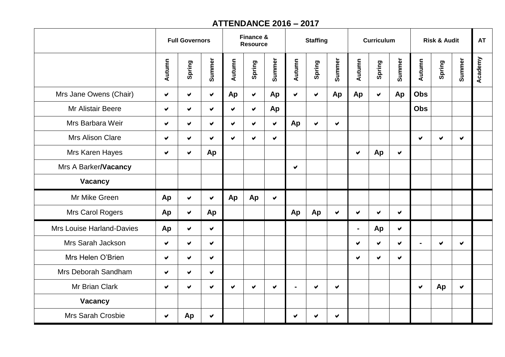## **ATTENDANCE 2016 – 2017**

|                           | <b>Full Governors</b> |                      |                      | Finance &<br><b>Resource</b> |                      |                      | <b>Staffing</b> |                      |                      |                      | <b>Curriculum</b>    |                      | <b>Risk &amp; Audit</b> |                      |        | <b>AT</b> |
|---------------------------|-----------------------|----------------------|----------------------|------------------------------|----------------------|----------------------|-----------------|----------------------|----------------------|----------------------|----------------------|----------------------|-------------------------|----------------------|--------|-----------|
|                           | Autumn                | Spring               | Summer               | Autumn                       | Spring               | Summer               | Autumn          | Spring               | Summer               | Autumn               | Spring               | Summer               | Autumn                  | Spring               | Summer | Academy   |
| Mrs Jane Owens (Chair)    | $\vee$                | $\blacktriangledown$ | ✔                    | Ap                           | $\blacktriangledown$ | Ap                   | ✔               | $\blacktriangledown$ | Ap                   | Ap                   | $\blacktriangledown$ | Ap                   | <b>Obs</b>              |                      |        |           |
| <b>Mr Alistair Beere</b>  | ✔                     | ✔                    | ✔                    | ✔                            | $\blacktriangledown$ | Ap                   |                 |                      |                      |                      |                      |                      | <b>Obs</b>              |                      |        |           |
| Mrs Barbara Weir          | ✔                     | ✔                    | $\blacktriangledown$ | ✔                            | $\blacktriangledown$ | ✔                    | Ap              | ✔                    | $\blacktriangledown$ |                      |                      |                      |                         |                      |        |           |
| Mrs Alison Clare          | ✔                     | ✔                    | V                    | ✔                            | $\blacktriangledown$ | V                    |                 |                      |                      |                      |                      |                      | $\blacktriangledown$    | $\blacktriangledown$ | V.     |           |
| Mrs Karen Hayes           | ✔                     | $\blacktriangledown$ | Ap                   |                              |                      |                      |                 |                      |                      | $\blacktriangledown$ | Ap                   | ✔                    |                         |                      |        |           |
| Mrs A Barker/Vacancy      |                       |                      |                      |                              |                      |                      | ✔               |                      |                      |                      |                      |                      |                         |                      |        |           |
| Vacancy                   |                       |                      |                      |                              |                      |                      |                 |                      |                      |                      |                      |                      |                         |                      |        |           |
| Mr Mike Green             | Ap                    | $\blacktriangledown$ | V                    | Ap                           | Ap                   | $\blacktriangledown$ |                 |                      |                      |                      |                      |                      |                         |                      |        |           |
| Mrs Carol Rogers          | Ap                    | ✔                    | Ap                   |                              |                      |                      | Ap              | Ap                   | $\blacktriangledown$ | ✔                    | ✔                    | ✔                    |                         |                      |        |           |
| Mrs Louise Harland-Davies | Ap                    | $\blacktriangledown$ | ✔                    |                              |                      |                      |                 |                      |                      | $\blacksquare$       | Ap                   | $\blacktriangledown$ |                         |                      |        |           |
| Mrs Sarah Jackson         | $\blacktriangledown$  | $\blacktriangledown$ | V                    |                              |                      |                      |                 |                      |                      | ✔                    | ✔                    | ✔                    |                         | ✔                    | ✔      |           |
| Mrs Helen O'Brien         | ✔                     | ✔                    | V                    |                              |                      |                      |                 |                      |                      | v.                   | $\blacktriangledown$ | $\blacktriangledown$ |                         |                      |        |           |
| Mrs Deborah Sandham       | ✔                     | ✔                    | ✔                    |                              |                      |                      |                 |                      |                      |                      |                      |                      |                         |                      |        |           |
| Mr Brian Clark            | ✔                     | $\blacktriangledown$ | ✔                    | ✔                            | ✔                    | ✔                    | $\blacksquare$  | ✔                    | ✔                    |                      |                      |                      | ✔                       | Ap                   | ✔      |           |
| Vacancy                   |                       |                      |                      |                              |                      |                      |                 |                      |                      |                      |                      |                      |                         |                      |        |           |
| Mrs Sarah Crosbie         | $\blacktriangledown$  | Ap                   | V                    |                              |                      |                      | ✔               | ✔                    | ✔                    |                      |                      |                      |                         |                      |        |           |